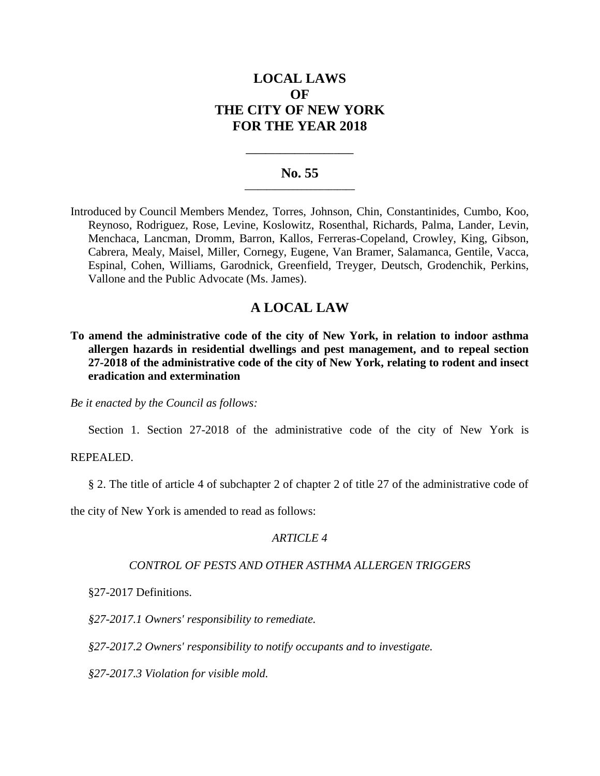# **LOCAL LAWS OF THE CITY OF NEW YORK FOR THE YEAR 2018**

## **No. 55 \_\_\_\_\_\_\_\_\_\_\_\_\_\_\_\_\_\_\_\_\_\_\_\_\_**

**\_\_\_\_\_\_\_\_\_\_\_\_\_\_\_\_\_\_\_\_\_\_**

Introduced by Council Members Mendez, Torres, Johnson, Chin, Constantinides, Cumbo, Koo, Reynoso, Rodriguez, Rose, Levine, Koslowitz, Rosenthal, Richards, Palma, Lander, Levin, Menchaca, Lancman, Dromm, Barron, Kallos, Ferreras-Copeland, Crowley, King, Gibson, Cabrera, Mealy, Maisel, Miller, Cornegy, Eugene, Van Bramer, Salamanca, Gentile, Vacca, Espinal, Cohen, Williams, Garodnick, Greenfield, Treyger, Deutsch, Grodenchik, Perkins, Vallone and the Public Advocate (Ms. James).

## **A LOCAL LAW**

**To amend the administrative code of the city of New York, in relation to indoor asthma allergen hazards in residential dwellings and pest management, and to repeal section 27-2018 of the administrative code of the city of New York, relating to rodent and insect eradication and extermination**

*Be it enacted by the Council as follows:*

Section 1. Section 27-2018 of the administrative code of the city of New York is

#### REPEALED.

§ 2. The title of article 4 of subchapter 2 of chapter 2 of title 27 of the administrative code of

the city of New York is amended to read as follows:

## *ARTICLE 4*

## *CONTROL OF PESTS AND OTHER ASTHMA ALLERGEN TRIGGERS*

§27-2017 Definitions.

*§27-2017.1 Owners' responsibility to remediate.*

*§27-2017.2 Owners' responsibility to notify occupants and to investigate.*

*§27-2017.3 Violation for visible mold.*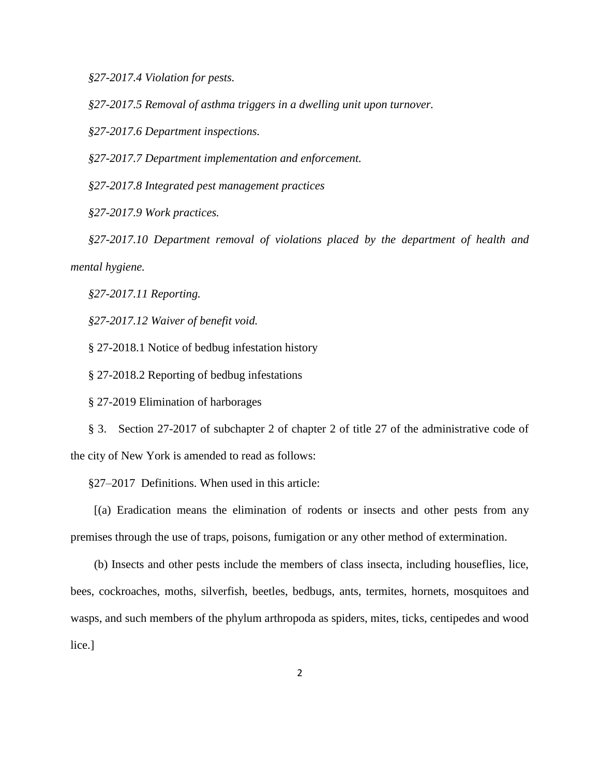*§27-2017.4 Violation for pests.*

*§27-2017.5 Removal of asthma triggers in a dwelling unit upon turnover.*

*§27-2017.6 Department inspections.*

*§27-2017.7 Department implementation and enforcement.*

*§27-2017.8 Integrated pest management practices*

*§27-2017.9 Work practices.*

*§27-2017.10 Department removal of violations placed by the department of health and mental hygiene.*

*§27-2017.11 Reporting.*

*§27-2017.12 Waiver of benefit void.*

§ 27-2018.1 Notice of bedbug infestation history

§ 27-2018.2 Reporting of bedbug infestations

§ 27-2019 Elimination of harborages

§ 3. Section 27-2017 of subchapter 2 of chapter 2 of title 27 of the administrative code of the city of New York is amended to read as follows:

§27–2017 Definitions. When used in this article:

[(a) Eradication means the elimination of rodents or insects and other pests from any premises through the use of traps, poisons, fumigation or any other method of extermination.

(b) Insects and other pests include the members of class insecta, including houseflies, lice, bees, cockroaches, moths, silverfish, beetles, bedbugs, ants, termites, hornets, mosquitoes and wasps, and such members of the phylum arthropoda as spiders, mites, ticks, centipedes and wood lice.]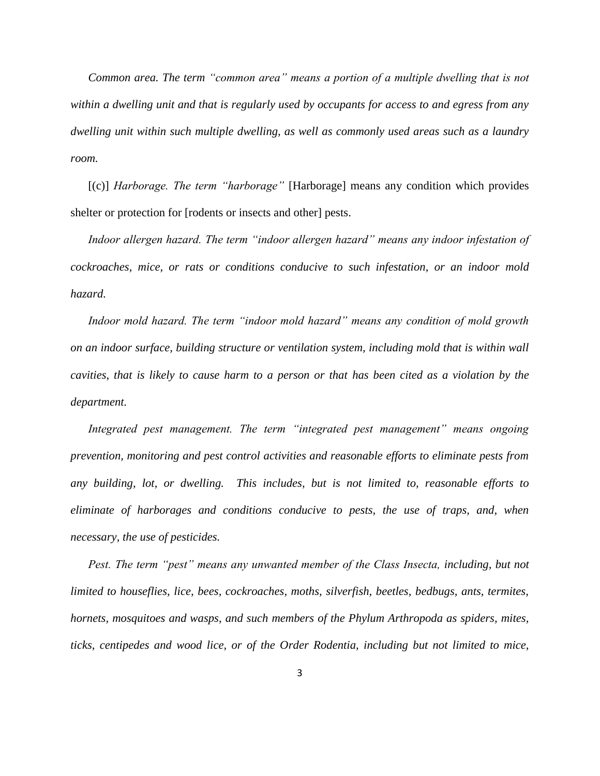*Common area. The term "common area" means a portion of a multiple dwelling that is not within a dwelling unit and that is regularly used by occupants for access to and egress from any dwelling unit within such multiple dwelling, as well as commonly used areas such as a laundry room.*

[(c)] *Harborage. The term "harborage"* [Harborage] means any condition which provides shelter or protection for [rodents or insects and other] pests.

*Indoor allergen hazard. The term "indoor allergen hazard" means any indoor infestation of cockroaches, mice, or rats or conditions conducive to such infestation, or an indoor mold hazard.*

Indoor mold hazard. The term "indoor mold hazard" means any condition of mold growth *on an indoor surface, building structure or ventilation system, including mold that is within wall cavities, that is likely to cause harm to a person or that has been cited as a violation by the department.*

*Integrated pest management. The term "integrated pest management" means ongoing prevention, monitoring and pest control activities and reasonable efforts to eliminate pests from any building, lot, or dwelling. This includes, but is not limited to, reasonable efforts to eliminate of harborages and conditions conducive to pests, the use of traps, and, when necessary, the use of pesticides.*

*Pest. The term "pest" means any unwanted member of the Class Insecta, including, but not limited to houseflies, lice, bees, cockroaches, moths, silverfish, beetles, bedbugs, ants, termites, hornets, mosquitoes and wasps, and such members of the Phylum Arthropoda as spiders, mites, ticks, centipedes and wood lice, or of the Order Rodentia, including but not limited to mice,*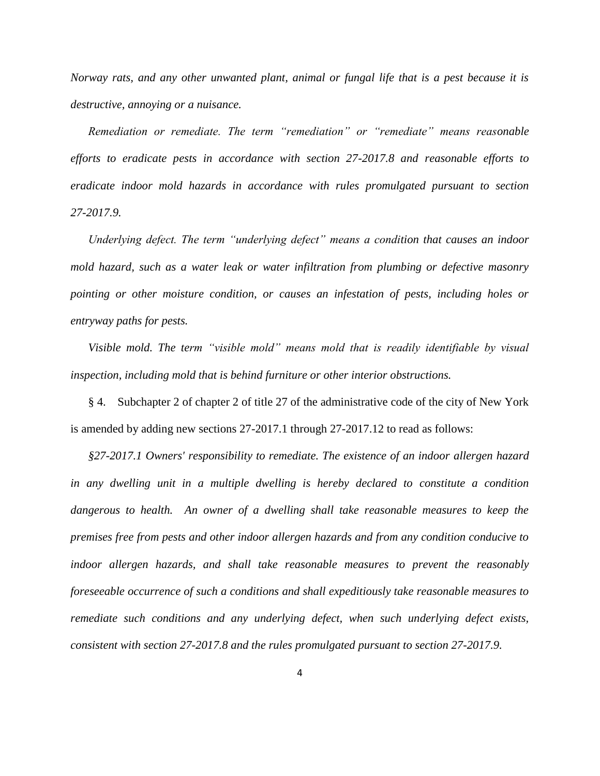*Norway rats, and any other unwanted plant, animal or fungal life that is a pest because it is destructive, annoying or a nuisance.*

*Remediation or remediate. The term "remediation" or "remediate" means reasonable efforts to eradicate pests in accordance with section 27-2017.8 and reasonable efforts to eradicate indoor mold hazards in accordance with rules promulgated pursuant to section 27-2017.9.*

*Underlying defect. The term "underlying defect" means a condition that causes an indoor mold hazard, such as a water leak or water infiltration from plumbing or defective masonry pointing or other moisture condition, or causes an infestation of pests, including holes or entryway paths for pests.*

*Visible mold. The term "visible mold" means mold that is readily identifiable by visual inspection, including mold that is behind furniture or other interior obstructions.*

§ 4. Subchapter 2 of chapter 2 of title 27 of the administrative code of the city of New York is amended by adding new sections 27-2017.1 through 27-2017.12 to read as follows:

*§27-2017.1 Owners' responsibility to remediate. The existence of an indoor allergen hazard in any dwelling unit in a multiple dwelling is hereby declared to constitute a condition dangerous to health. An owner of a dwelling shall take reasonable measures to keep the premises free from pests and other indoor allergen hazards and from any condition conducive to indoor allergen hazards, and shall take reasonable measures to prevent the reasonably foreseeable occurrence of such a conditions and shall expeditiously take reasonable measures to remediate such conditions and any underlying defect, when such underlying defect exists, consistent with section 27-2017.8 and the rules promulgated pursuant to section 27-2017.9.*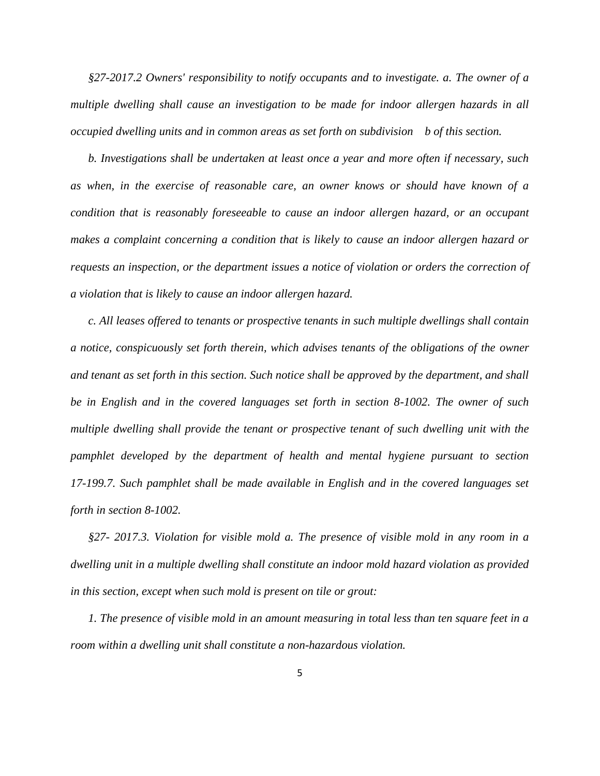*§27-2017.2 Owners' responsibility to notify occupants and to investigate. a. The owner of a multiple dwelling shall cause an investigation to be made for indoor allergen hazards in all occupied dwelling units and in common areas as set forth on subdivision b of this section.*

*b. Investigations shall be undertaken at least once a year and more often if necessary, such as when, in the exercise of reasonable care, an owner knows or should have known of a condition that is reasonably foreseeable to cause an indoor allergen hazard, or an occupant makes a complaint concerning a condition that is likely to cause an indoor allergen hazard or requests an inspection, or the department issues a notice of violation or orders the correction of a violation that is likely to cause an indoor allergen hazard.*

*c. All leases offered to tenants or prospective tenants in such multiple dwellings shall contain a notice, conspicuously set forth therein, which advises tenants of the obligations of the owner and tenant as set forth in this section. Such notice shall be approved by the department, and shall be in English and in the covered languages set forth in section 8-1002. The owner of such multiple dwelling shall provide the tenant or prospective tenant of such dwelling unit with the pamphlet developed by the department of health and mental hygiene pursuant to section 17-199.7. Such pamphlet shall be made available in English and in the covered languages set forth in section 8-1002.*

*§27- 2017.3. Violation for visible mold a. The presence of visible mold in any room in a dwelling unit in a multiple dwelling shall constitute an indoor mold hazard violation as provided in this section, except when such mold is present on tile or grout:*

*1. The presence of visible mold in an amount measuring in total less than ten square feet in a room within a dwelling unit shall constitute a non-hazardous violation.*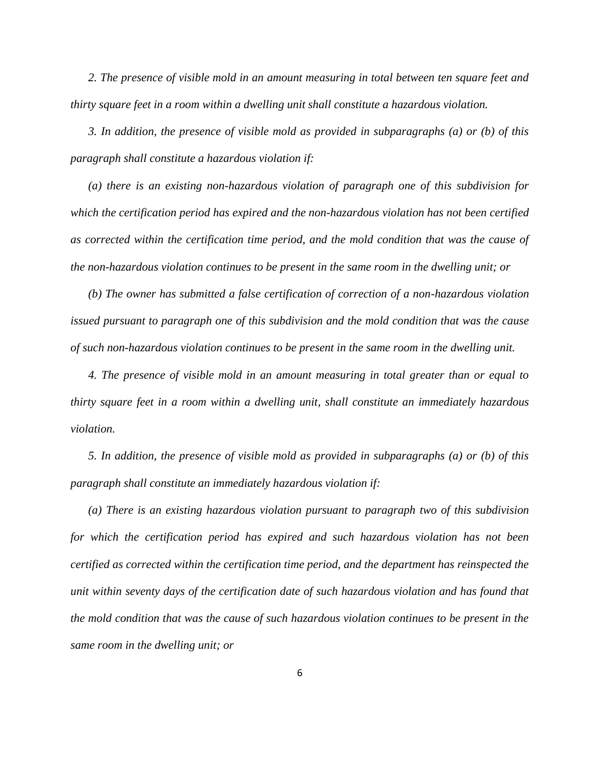*2. The presence of visible mold in an amount measuring in total between ten square feet and thirty square feet in a room within a dwelling unit shall constitute a hazardous violation.*

*3. In addition, the presence of visible mold as provided in subparagraphs (a) or (b) of this paragraph shall constitute a hazardous violation if:*

*(a) there is an existing non-hazardous violation of paragraph one of this subdivision for which the certification period has expired and the non-hazardous violation has not been certified as corrected within the certification time period, and the mold condition that was the cause of the non-hazardous violation continues to be present in the same room in the dwelling unit; or*

*(b) The owner has submitted a false certification of correction of a non-hazardous violation issued pursuant to paragraph one of this subdivision and the mold condition that was the cause of such non-hazardous violation continues to be present in the same room in the dwelling unit.*

*4. The presence of visible mold in an amount measuring in total greater than or equal to thirty square feet in a room within a dwelling unit, shall constitute an immediately hazardous violation.*

*5. In addition, the presence of visible mold as provided in subparagraphs (a) or (b) of this paragraph shall constitute an immediately hazardous violation if:* 

*(a) There is an existing hazardous violation pursuant to paragraph two of this subdivision for which the certification period has expired and such hazardous violation has not been certified as corrected within the certification time period, and the department has reinspected the unit within seventy days of the certification date of such hazardous violation and has found that the mold condition that was the cause of such hazardous violation continues to be present in the same room in the dwelling unit; or*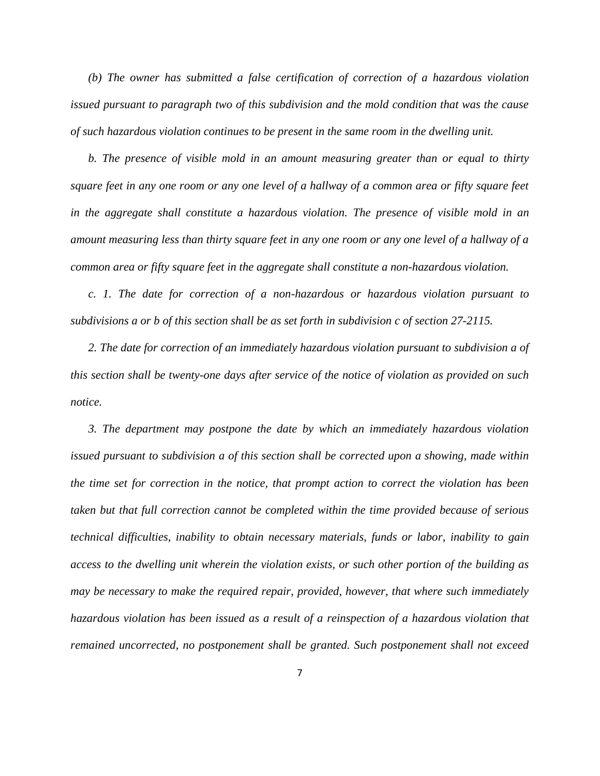*(b) The owner has submitted a false certification of correction of a hazardous violation issued pursuant to paragraph two of this subdivision and the mold condition that was the cause of such hazardous violation continues to be present in the same room in the dwelling unit.*

*b. The presence of visible mold in an amount measuring greater than or equal to thirty square feet in any one room or any one level of a hallway of a common area or fifty square feet in the aggregate shall constitute a hazardous violation. The presence of visible mold in an amount measuring less than thirty square feet in any one room or any one level of a hallway of a common area or fifty square feet in the aggregate shall constitute a non-hazardous violation.* 

*c. 1. The date for correction of a non-hazardous or hazardous violation pursuant to subdivisions a or b of this section shall be as set forth in subdivision c of section 27-2115.* 

*2. The date for correction of an immediately hazardous violation pursuant to subdivision a of this section shall be twenty-one days after service of the notice of violation as provided on such notice.*

*3. The department may postpone the date by which an immediately hazardous violation issued pursuant to subdivision a of this section shall be corrected upon a showing, made within the time set for correction in the notice, that prompt action to correct the violation has been taken but that full correction cannot be completed within the time provided because of serious technical difficulties, inability to obtain necessary materials, funds or labor, inability to gain access to the dwelling unit wherein the violation exists, or such other portion of the building as may be necessary to make the required repair, provided, however, that where such immediately hazardous violation has been issued as a result of a reinspection of a hazardous violation that remained uncorrected, no postponement shall be granted. Such postponement shall not exceed*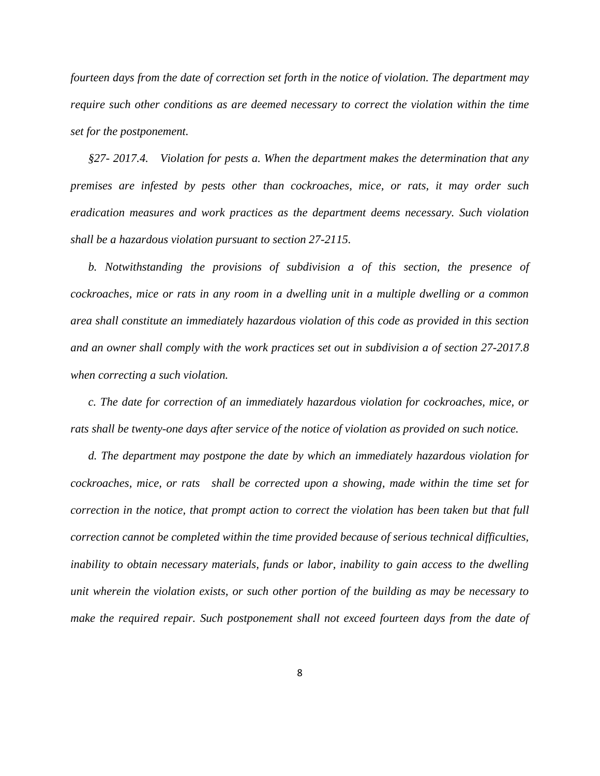*fourteen days from the date of correction set forth in the notice of violation. The department may require such other conditions as are deemed necessary to correct the violation within the time set for the postponement.*

*§27- 2017.4. Violation for pests a. When the department makes the determination that any premises are infested by pests other than cockroaches, mice, or rats, it may order such eradication measures and work practices as the department deems necessary. Such violation shall be a hazardous violation pursuant to section 27-2115.*

*b. Notwithstanding the provisions of subdivision a of this section, the presence of cockroaches, mice or rats in any room in a dwelling unit in a multiple dwelling or a common area shall constitute an immediately hazardous violation of this code as provided in this section and an owner shall comply with the work practices set out in subdivision a of section 27-2017.8 when correcting a such violation.*

*c. The date for correction of an immediately hazardous violation for cockroaches, mice, or rats shall be twenty-one days after service of the notice of violation as provided on such notice.* 

*d. The department may postpone the date by which an immediately hazardous violation for cockroaches, mice, or rats shall be corrected upon a showing, made within the time set for correction in the notice, that prompt action to correct the violation has been taken but that full correction cannot be completed within the time provided because of serious technical difficulties, inability to obtain necessary materials, funds or labor, inability to gain access to the dwelling unit wherein the violation exists, or such other portion of the building as may be necessary to make the required repair. Such postponement shall not exceed fourteen days from the date of*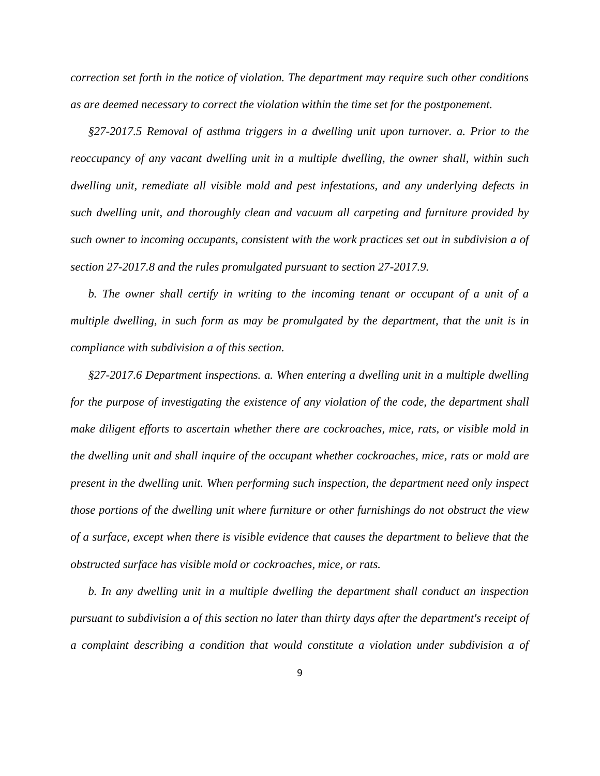*correction set forth in the notice of violation. The department may require such other conditions as are deemed necessary to correct the violation within the time set for the postponement.*

*§27-2017.5 Removal of asthma triggers in a dwelling unit upon turnover. a. Prior to the reoccupancy of any vacant dwelling unit in a multiple dwelling, the owner shall, within such dwelling unit, remediate all visible mold and pest infestations, and any underlying defects in such dwelling unit, and thoroughly clean and vacuum all carpeting and furniture provided by such owner to incoming occupants, consistent with the work practices set out in subdivision a of section 27-2017.8 and the rules promulgated pursuant to section 27-2017.9.*

*b. The owner shall certify in writing to the incoming tenant or occupant of a unit of a multiple dwelling, in such form as may be promulgated by the department, that the unit is in compliance with subdivision a of this section.* 

*§27-2017.6 Department inspections. a. When entering a dwelling unit in a multiple dwelling for the purpose of investigating the existence of any violation of the code, the department shall make diligent efforts to ascertain whether there are cockroaches, mice, rats, or visible mold in the dwelling unit and shall inquire of the occupant whether cockroaches, mice, rats or mold are present in the dwelling unit. When performing such inspection, the department need only inspect those portions of the dwelling unit where furniture or other furnishings do not obstruct the view of a surface, except when there is visible evidence that causes the department to believe that the obstructed surface has visible mold or cockroaches, mice, or rats.*

*b. In any dwelling unit in a multiple dwelling the department shall conduct an inspection pursuant to subdivision a of this section no later than thirty days after the department's receipt of a complaint describing a condition that would constitute a violation under subdivision a of*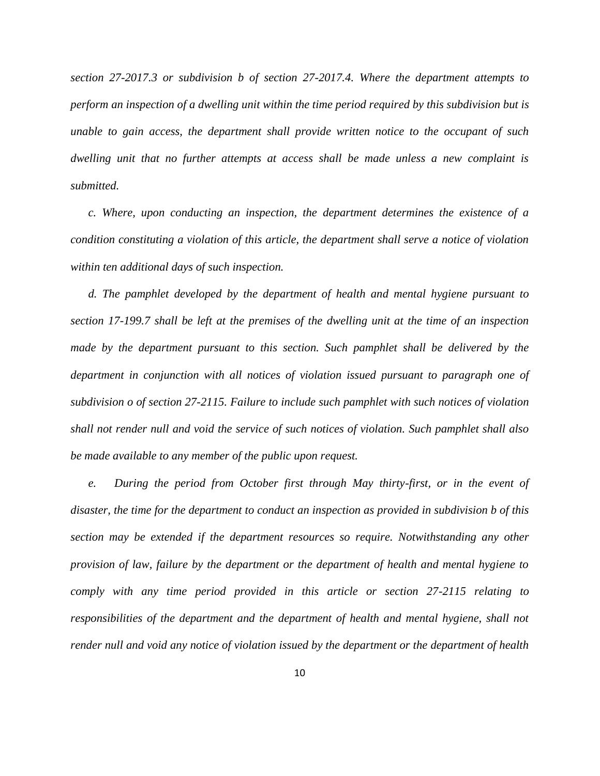*section 27-2017.3 or subdivision b of section 27-2017.4. Where the department attempts to perform an inspection of a dwelling unit within the time period required by this subdivision but is unable to gain access, the department shall provide written notice to the occupant of such dwelling unit that no further attempts at access shall be made unless a new complaint is submitted.* 

*c. Where, upon conducting an inspection, the department determines the existence of a condition constituting a violation of this article, the department shall serve a notice of violation within ten additional days of such inspection.*

*d. The pamphlet developed by the department of health and mental hygiene pursuant to section 17-199.7 shall be left at the premises of the dwelling unit at the time of an inspection made by the department pursuant to this section. Such pamphlet shall be delivered by the department in conjunction with all notices of violation issued pursuant to paragraph one of subdivision o of section 27-2115. Failure to include such pamphlet with such notices of violation shall not render null and void the service of such notices of violation. Such pamphlet shall also be made available to any member of the public upon request.*

*e.* During the period from October first through May thirty-first, or in the event of *disaster, the time for the department to conduct an inspection as provided in subdivision b of this section may be extended if the department resources so require. Notwithstanding any other provision of law, failure by the department or the department of health and mental hygiene to comply with any time period provided in this article or section 27-2115 relating to responsibilities of the department and the department of health and mental hygiene, shall not render null and void any notice of violation issued by the department or the department of health*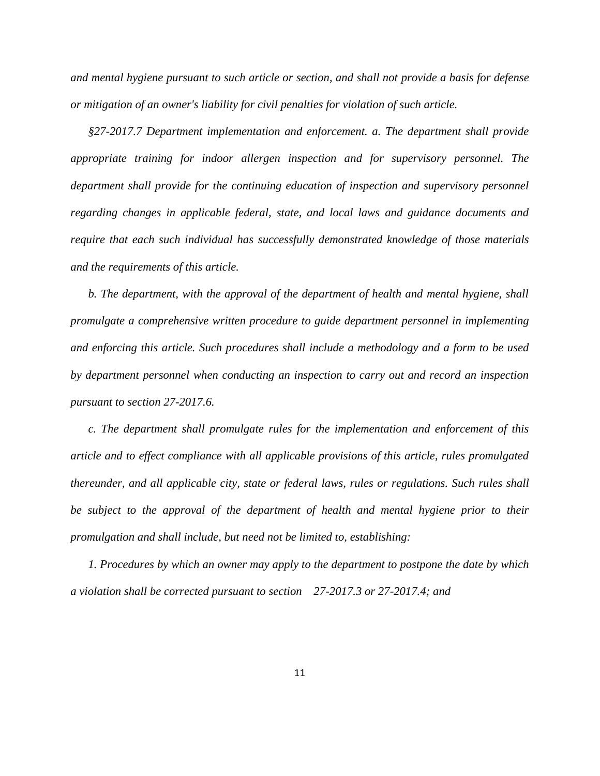*and mental hygiene pursuant to such article or section, and shall not provide a basis for defense or mitigation of an owner's liability for civil penalties for violation of such article.*

*§27-2017.7 Department implementation and enforcement. a. The department shall provide appropriate training for indoor allergen inspection and for supervisory personnel. The department shall provide for the continuing education of inspection and supervisory personnel regarding changes in applicable federal, state, and local laws and guidance documents and require that each such individual has successfully demonstrated knowledge of those materials and the requirements of this article.*

*b. The department, with the approval of the department of health and mental hygiene, shall promulgate a comprehensive written procedure to guide department personnel in implementing and enforcing this article. Such procedures shall include a methodology and a form to be used by department personnel when conducting an inspection to carry out and record an inspection pursuant to section 27-2017.6.*

*c. The department shall promulgate rules for the implementation and enforcement of this article and to effect compliance with all applicable provisions of this article, rules promulgated thereunder, and all applicable city, state or federal laws, rules or regulations. Such rules shall be subject to the approval of the department of health and mental hygiene prior to their promulgation and shall include, but need not be limited to, establishing:*

*1. Procedures by which an owner may apply to the department to postpone the date by which a violation shall be corrected pursuant to section 27-2017.3 or 27-2017.4; and*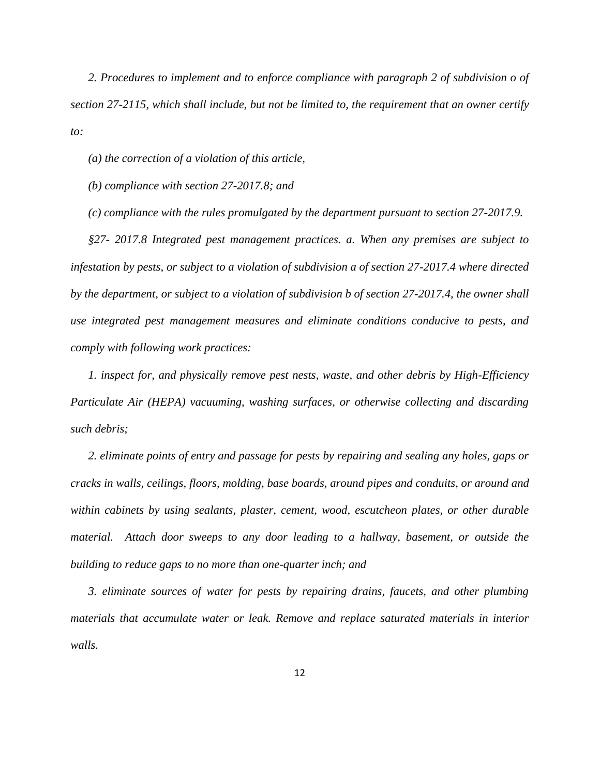*2. Procedures to implement and to enforce compliance with paragraph 2 of subdivision o of section 27-2115, which shall include, but not be limited to, the requirement that an owner certify to:*

*(a) the correction of a violation of this article,*

*(b) compliance with section 27-2017.8; and*

*(c) compliance with the rules promulgated by the department pursuant to section 27-2017.9.*

*§27- 2017.8 Integrated pest management practices. a. When any premises are subject to infestation by pests, or subject to a violation of subdivision a of section 27-2017.4 where directed by the department, or subject to a violation of subdivision b of section 27-2017.4, the owner shall use integrated pest management measures and eliminate conditions conducive to pests, and comply with following work practices:* 

*1. inspect for, and physically remove pest nests, waste, and other debris by High-Efficiency Particulate Air (HEPA) vacuuming, washing surfaces, or otherwise collecting and discarding such debris;*

*2. eliminate points of entry and passage for pests by repairing and sealing any holes, gaps or cracks in walls, ceilings, floors, molding, base boards, around pipes and conduits, or around and within cabinets by using sealants, plaster, cement, wood, escutcheon plates, or other durable material. Attach door sweeps to any door leading to a hallway, basement, or outside the building to reduce gaps to no more than one-quarter inch; and*

*3. eliminate sources of water for pests by repairing drains, faucets, and other plumbing materials that accumulate water or leak. Remove and replace saturated materials in interior walls.*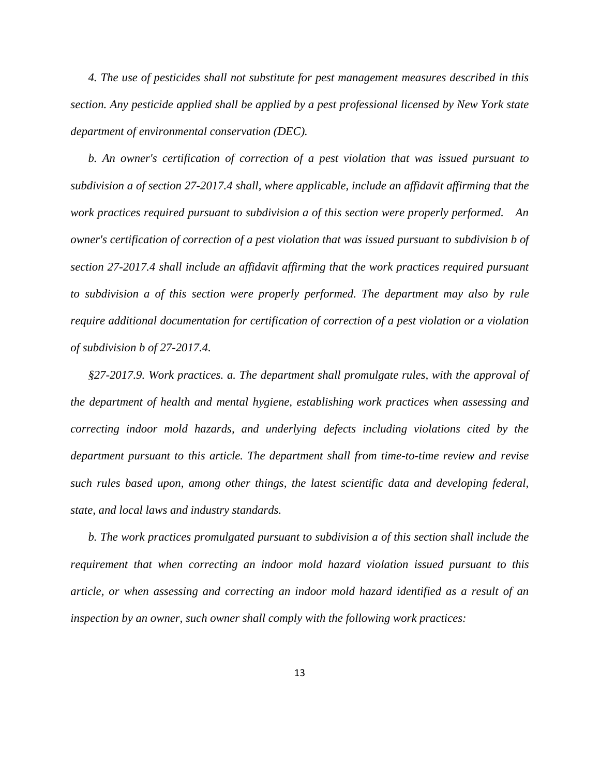*4. The use of pesticides shall not substitute for pest management measures described in this section. Any pesticide applied shall be applied by a pest professional licensed by New York state department of environmental conservation (DEC).*

*b. An owner's certification of correction of a pest violation that was issued pursuant to subdivision a of section 27-2017.4 shall, where applicable, include an affidavit affirming that the work practices required pursuant to subdivision a of this section were properly performed. An owner's certification of correction of a pest violation that was issued pursuant to subdivision b of section 27-2017.4 shall include an affidavit affirming that the work practices required pursuant to subdivision a of this section were properly performed. The department may also by rule require additional documentation for certification of correction of a pest violation or a violation of subdivision b of 27-2017.4.* 

*§27-2017.9. Work practices. a. The department shall promulgate rules, with the approval of the department of health and mental hygiene, establishing work practices when assessing and correcting indoor mold hazards, and underlying defects including violations cited by the department pursuant to this article. The department shall from time-to-time review and revise such rules based upon, among other things, the latest scientific data and developing federal, state, and local laws and industry standards.* 

*b. The work practices promulgated pursuant to subdivision a of this section shall include the requirement that when correcting an indoor mold hazard violation issued pursuant to this article, or when assessing and correcting an indoor mold hazard identified as a result of an inspection by an owner, such owner shall comply with the following work practices:*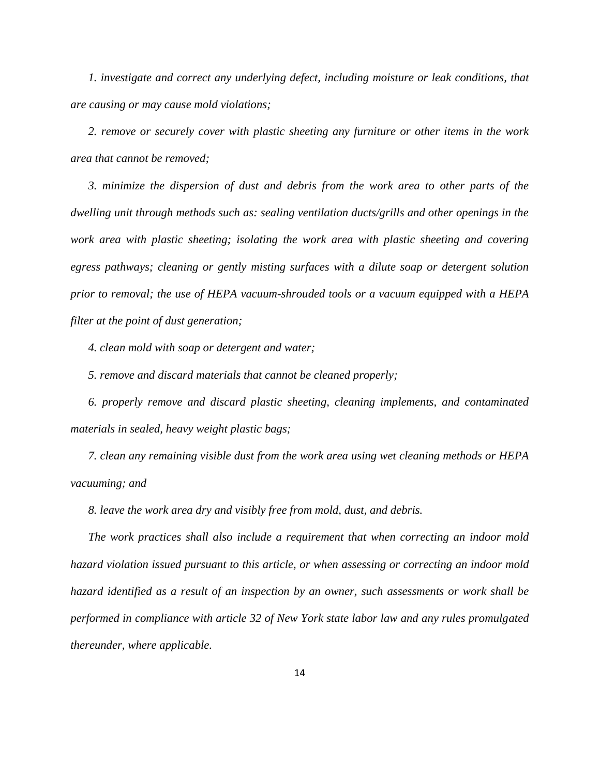*1. investigate and correct any underlying defect, including moisture or leak conditions, that are causing or may cause mold violations;*

*2. remove or securely cover with plastic sheeting any furniture or other items in the work area that cannot be removed;* 

*3. minimize the dispersion of dust and debris from the work area to other parts of the dwelling unit through methods such as: sealing ventilation ducts/grills and other openings in the work area with plastic sheeting; isolating the work area with plastic sheeting and covering egress pathways; cleaning or gently misting surfaces with a dilute soap or detergent solution prior to removal; the use of HEPA vacuum-shrouded tools or a vacuum equipped with a HEPA filter at the point of dust generation;*

*4. clean mold with soap or detergent and water;* 

*5. remove and discard materials that cannot be cleaned properly;* 

*6. properly remove and discard plastic sheeting, cleaning implements, and contaminated materials in sealed, heavy weight plastic bags;* 

*7. clean any remaining visible dust from the work area using wet cleaning methods or HEPA vacuuming; and*

*8. leave the work area dry and visibly free from mold, dust, and debris.*

*The work practices shall also include a requirement that when correcting an indoor mold hazard violation issued pursuant to this article, or when assessing or correcting an indoor mold hazard identified as a result of an inspection by an owner, such assessments or work shall be performed in compliance with article 32 of New York state labor law and any rules promulgated thereunder, where applicable.*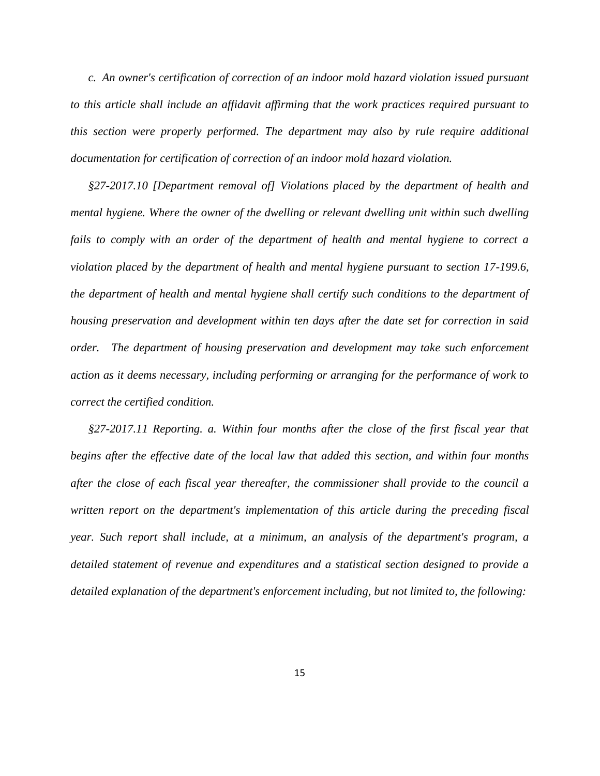*c. An owner's certification of correction of an indoor mold hazard violation issued pursuant to this article shall include an affidavit affirming that the work practices required pursuant to this section were properly performed. The department may also by rule require additional documentation for certification of correction of an indoor mold hazard violation.*

*§27-2017.10 [Department removal of] Violations placed by the department of health and mental hygiene. Where the owner of the dwelling or relevant dwelling unit within such dwelling fails to comply with an order of the department of health and mental hygiene to correct a violation placed by the department of health and mental hygiene pursuant to section 17-199.6, the department of health and mental hygiene shall certify such conditions to the department of housing preservation and development within ten days after the date set for correction in said order. The department of housing preservation and development may take such enforcement action as it deems necessary, including performing or arranging for the performance of work to correct the certified condition.*

*§27-2017.11 Reporting. a. Within four months after the close of the first fiscal year that begins after the effective date of the local law that added this section, and within four months after the close of each fiscal year thereafter, the commissioner shall provide to the council a written report on the department's implementation of this article during the preceding fiscal year. Such report shall include, at a minimum, an analysis of the department's program, a detailed statement of revenue and expenditures and a statistical section designed to provide a detailed explanation of the department's enforcement including, but not limited to, the following:*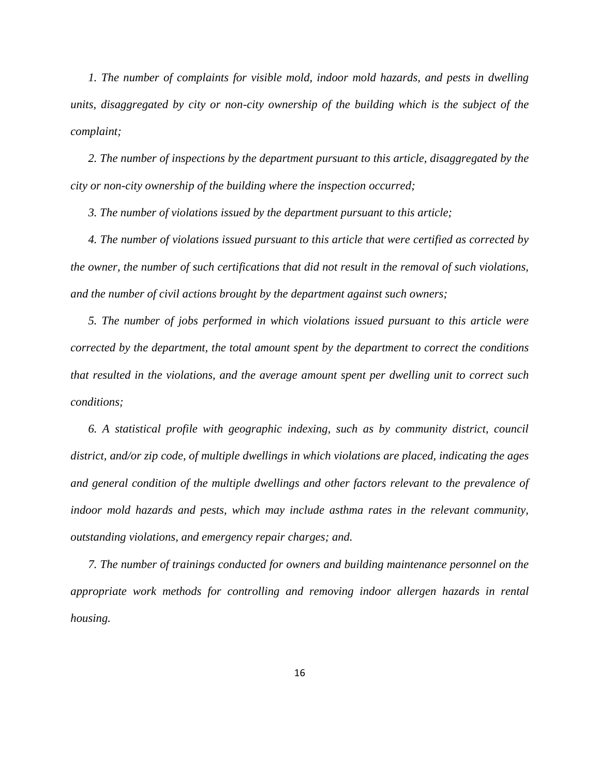*1. The number of complaints for visible mold, indoor mold hazards, and pests in dwelling units, disaggregated by city or non-city ownership of the building which is the subject of the complaint;*

*2. The number of inspections by the department pursuant to this article, disaggregated by the city or non-city ownership of the building where the inspection occurred;*

*3. The number of violations issued by the department pursuant to this article;*

*4. The number of violations issued pursuant to this article that were certified as corrected by the owner, the number of such certifications that did not result in the removal of such violations, and the number of civil actions brought by the department against such owners;* 

*5. The number of jobs performed in which violations issued pursuant to this article were corrected by the department, the total amount spent by the department to correct the conditions that resulted in the violations, and the average amount spent per dwelling unit to correct such conditions;* 

*6. A statistical profile with geographic indexing, such as by community district, council district, and/or zip code, of multiple dwellings in which violations are placed, indicating the ages and general condition of the multiple dwellings and other factors relevant to the prevalence of indoor mold hazards and pests, which may include asthma rates in the relevant community, outstanding violations, and emergency repair charges; and.*

*7. The number of trainings conducted for owners and building maintenance personnel on the appropriate work methods for controlling and removing indoor allergen hazards in rental housing.*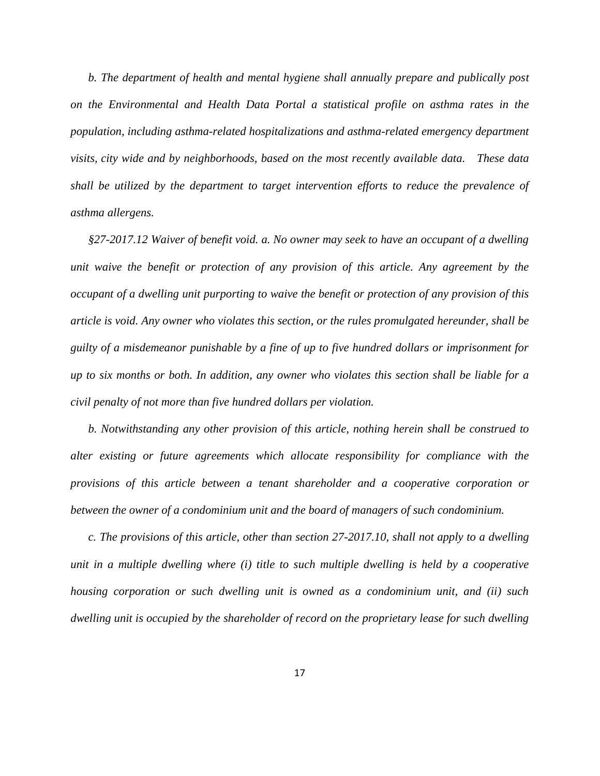*b. The department of health and mental hygiene shall annually prepare and publically post on the Environmental and Health Data Portal a statistical profile on asthma rates in the population, including asthma-related hospitalizations and asthma-related emergency department visits, city wide and by neighborhoods, based on the most recently available data. These data shall be utilized by the department to target intervention efforts to reduce the prevalence of asthma allergens.*

*§27-2017.12 Waiver of benefit void. a. No owner may seek to have an occupant of a dwelling unit waive the benefit or protection of any provision of this article. Any agreement by the occupant of a dwelling unit purporting to waive the benefit or protection of any provision of this article is void. Any owner who violates this section, or the rules promulgated hereunder, shall be guilty of a misdemeanor punishable by a fine of up to five hundred dollars or imprisonment for up to six months or both. In addition, any owner who violates this section shall be liable for a civil penalty of not more than five hundred dollars per violation.*

*b. Notwithstanding any other provision of this article, nothing herein shall be construed to alter existing or future agreements which allocate responsibility for compliance with the provisions of this article between a tenant shareholder and a cooperative corporation or between the owner of a condominium unit and the board of managers of such condominium.*

*c. The provisions of this article, other than section 27-2017.10, shall not apply to a dwelling unit in a multiple dwelling where (i) title to such multiple dwelling is held by a cooperative housing corporation or such dwelling unit is owned as a condominium unit, and (ii) such dwelling unit is occupied by the shareholder of record on the proprietary lease for such dwelling*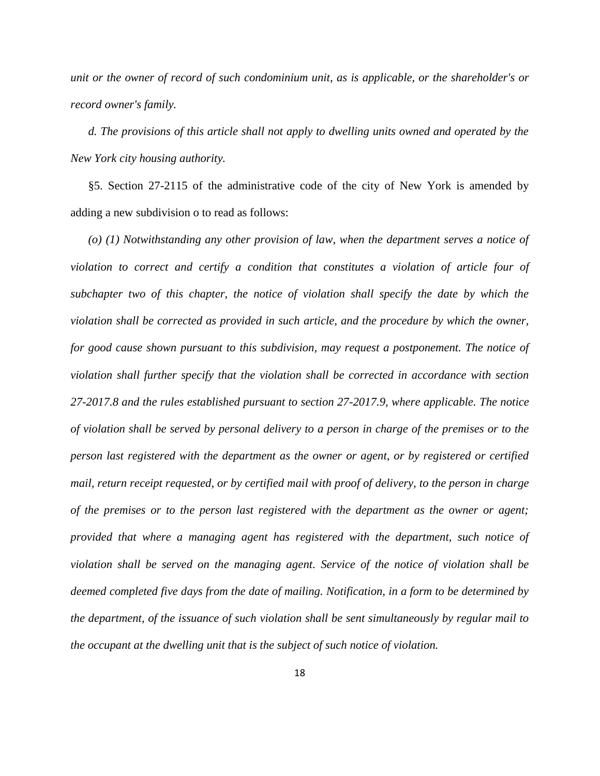*unit or the owner of record of such condominium unit, as is applicable, or the shareholder's or record owner's family.*

*d. The provisions of this article shall not apply to dwelling units owned and operated by the New York city housing authority.*

§5. Section 27-2115 of the administrative code of the city of New York is amended by adding a new subdivision o to read as follows:

*(o) (1) Notwithstanding any other provision of law, when the department serves a notice of violation to correct and certify a condition that constitutes a violation of article four of subchapter two of this chapter, the notice of violation shall specify the date by which the violation shall be corrected as provided in such article, and the procedure by which the owner, for good cause shown pursuant to this subdivision, may request a postponement. The notice of violation shall further specify that the violation shall be corrected in accordance with section 27-2017.8 and the rules established pursuant to section 27-2017.9, where applicable. The notice of violation shall be served by personal delivery to a person in charge of the premises or to the person last registered with the department as the owner or agent, or by registered or certified mail, return receipt requested, or by certified mail with proof of delivery, to the person in charge of the premises or to the person last registered with the department as the owner or agent; provided that where a managing agent has registered with the department, such notice of violation shall be served on the managing agent. Service of the notice of violation shall be deemed completed five days from the date of mailing. Notification, in a form to be determined by the department, of the issuance of such violation shall be sent simultaneously by regular mail to the occupant at the dwelling unit that is the subject of such notice of violation.*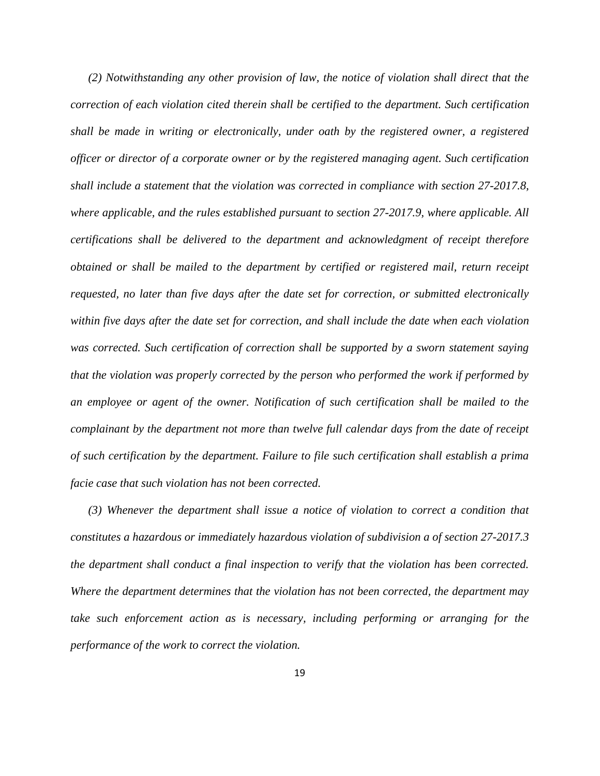*(2) Notwithstanding any other provision of law, the notice of violation shall direct that the correction of each violation cited therein shall be certified to the department. Such certification shall be made in writing or electronically, under oath by the registered owner, a registered officer or director of a corporate owner or by the registered managing agent. Such certification shall include a statement that the violation was corrected in compliance with section 27-2017.8, where applicable, and the rules established pursuant to section 27-2017.9, where applicable. All certifications shall be delivered to the department and acknowledgment of receipt therefore obtained or shall be mailed to the department by certified or registered mail, return receipt requested, no later than five days after the date set for correction, or submitted electronically within five days after the date set for correction, and shall include the date when each violation was corrected. Such certification of correction shall be supported by a sworn statement saying that the violation was properly corrected by the person who performed the work if performed by an employee or agent of the owner. Notification of such certification shall be mailed to the complainant by the department not more than twelve full calendar days from the date of receipt of such certification by the department. Failure to file such certification shall establish a prima facie case that such violation has not been corrected.*

*(3) Whenever the department shall issue a notice of violation to correct a condition that constitutes a hazardous or immediately hazardous violation of subdivision a of section 27-2017.3 the department shall conduct a final inspection to verify that the violation has been corrected. Where the department determines that the violation has not been corrected, the department may take such enforcement action as is necessary, including performing or arranging for the performance of the work to correct the violation.*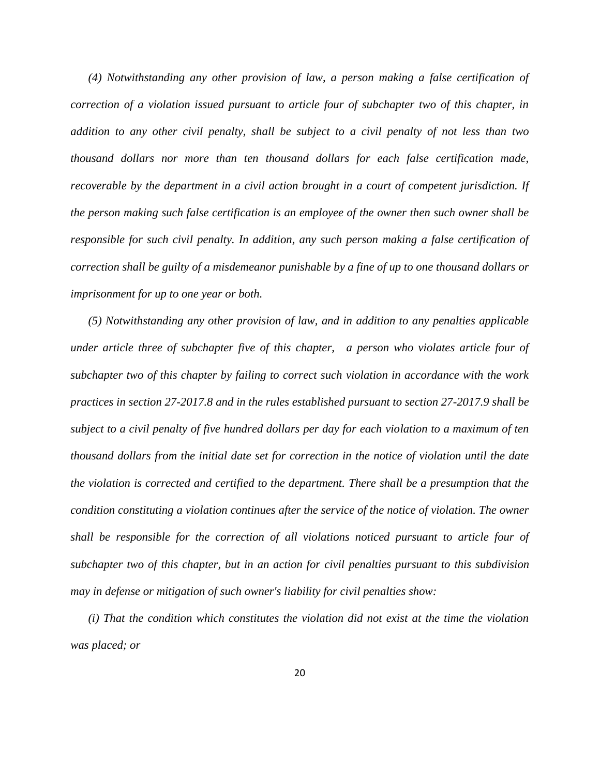*(4) Notwithstanding any other provision of law, a person making a false certification of correction of a violation issued pursuant to article four of subchapter two of this chapter, in addition to any other civil penalty, shall be subject to a civil penalty of not less than two thousand dollars nor more than ten thousand dollars for each false certification made, recoverable by the department in a civil action brought in a court of competent jurisdiction. If the person making such false certification is an employee of the owner then such owner shall be responsible for such civil penalty. In addition, any such person making a false certification of correction shall be guilty of a misdemeanor punishable by a fine of up to one thousand dollars or imprisonment for up to one year or both.*

*(5) Notwithstanding any other provision of law, and in addition to any penalties applicable under article three of subchapter five of this chapter, a person who violates article four of subchapter two of this chapter by failing to correct such violation in accordance with the work practices in section 27-2017.8 and in the rules established pursuant to section 27-2017.9 shall be subject to a civil penalty of five hundred dollars per day for each violation to a maximum of ten thousand dollars from the initial date set for correction in the notice of violation until the date the violation is corrected and certified to the department. There shall be a presumption that the condition constituting a violation continues after the service of the notice of violation. The owner shall be responsible for the correction of all violations noticed pursuant to article four of subchapter two of this chapter, but in an action for civil penalties pursuant to this subdivision may in defense or mitigation of such owner's liability for civil penalties show:*

*(i) That the condition which constitutes the violation did not exist at the time the violation was placed; or*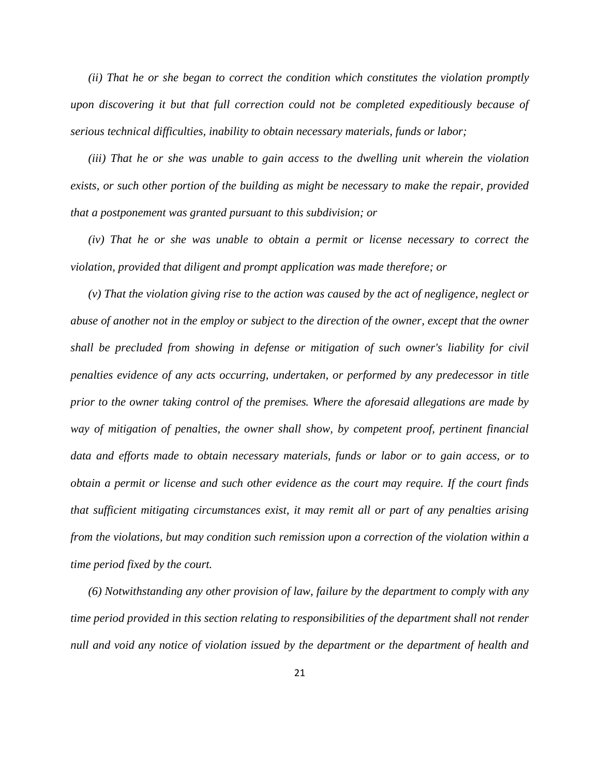*(ii) That he or she began to correct the condition which constitutes the violation promptly upon discovering it but that full correction could not be completed expeditiously because of serious technical difficulties, inability to obtain necessary materials, funds or labor;*

*(iii) That he or she was unable to gain access to the dwelling unit wherein the violation exists, or such other portion of the building as might be necessary to make the repair, provided that a postponement was granted pursuant to this subdivision; or*

*(iv) That he or she was unable to obtain a permit or license necessary to correct the violation, provided that diligent and prompt application was made therefore; or*

*(v) That the violation giving rise to the action was caused by the act of negligence, neglect or abuse of another not in the employ or subject to the direction of the owner, except that the owner shall be precluded from showing in defense or mitigation of such owner's liability for civil penalties evidence of any acts occurring, undertaken, or performed by any predecessor in title prior to the owner taking control of the premises. Where the aforesaid allegations are made by way of mitigation of penalties, the owner shall show, by competent proof, pertinent financial data and efforts made to obtain necessary materials, funds or labor or to gain access, or to obtain a permit or license and such other evidence as the court may require. If the court finds that sufficient mitigating circumstances exist, it may remit all or part of any penalties arising from the violations, but may condition such remission upon a correction of the violation within a time period fixed by the court.*

*(6) Notwithstanding any other provision of law, failure by the department to comply with any time period provided in this section relating to responsibilities of the department shall not render null and void any notice of violation issued by the department or the department of health and*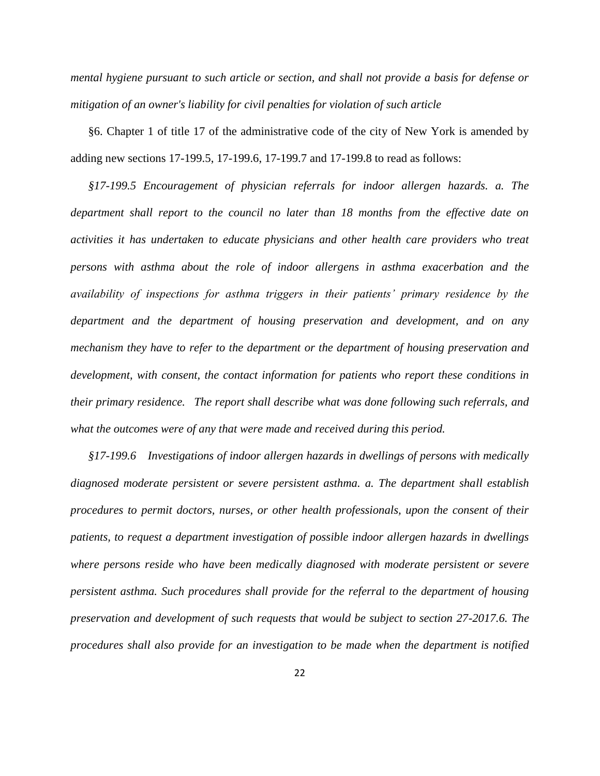*mental hygiene pursuant to such article or section, and shall not provide a basis for defense or mitigation of an owner's liability for civil penalties for violation of such article*

§6. Chapter 1 of title 17 of the administrative code of the city of New York is amended by adding new sections 17-199.5, 17-199.6, 17-199.7 and 17-199.8 to read as follows:

*§17-199.5 Encouragement of physician referrals for indoor allergen hazards. a. The department shall report to the council no later than 18 months from the effective date on activities it has undertaken to educate physicians and other health care providers who treat persons with asthma about the role of indoor allergens in asthma exacerbation and the availability of inspections for asthma triggers in their patients' primary residence by the department and the department of housing preservation and development, and on any mechanism they have to refer to the department or the department of housing preservation and development, with consent, the contact information for patients who report these conditions in their primary residence. The report shall describe what was done following such referrals, and what the outcomes were of any that were made and received during this period.* 

*§17-199.6 Investigations of indoor allergen hazards in dwellings of persons with medically diagnosed moderate persistent or severe persistent asthma. a. The department shall establish procedures to permit doctors, nurses, or other health professionals, upon the consent of their patients, to request a department investigation of possible indoor allergen hazards in dwellings where persons reside who have been medically diagnosed with moderate persistent or severe persistent asthma. Such procedures shall provide for the referral to the department of housing preservation and development of such requests that would be subject to section 27-2017.6. The procedures shall also provide for an investigation to be made when the department is notified*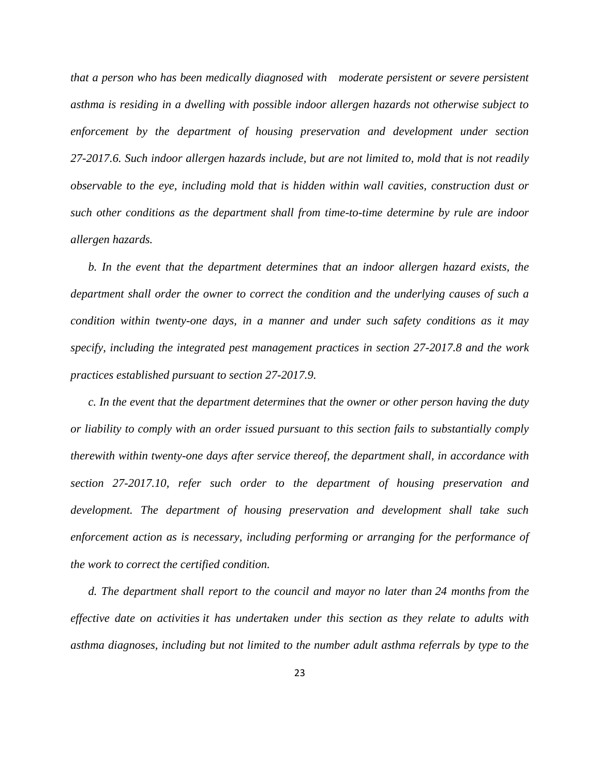*that a person who has been medically diagnosed with moderate persistent or severe persistent asthma is residing in a dwelling with possible indoor allergen hazards not otherwise subject to enforcement by the department of housing preservation and development under section 27-2017.6. Such indoor allergen hazards include, but are not limited to, mold that is not readily observable to the eye, including mold that is hidden within wall cavities, construction dust or such other conditions as the department shall from time-to-time determine by rule are indoor allergen hazards.*

*b. In the event that the department determines that an indoor allergen hazard exists, the department shall order the owner to correct the condition and the underlying causes of such a condition within twenty-one days, in a manner and under such safety conditions as it may specify, including the integrated pest management practices in section 27-2017.8 and the work practices established pursuant to section 27-2017.9.*

*c. In the event that the department determines that the owner or other person having the duty or liability to comply with an order issued pursuant to this section fails to substantially comply therewith within twenty-one days after service thereof, the department shall, in accordance with section 27-2017.10, refer such order to the department of housing preservation and development. The department of housing preservation and development shall take such enforcement action as is necessary, including performing or arranging for the performance of the work to correct the certified condition.*

*d. The department shall report to the council and mayor no later than 24 months from the effective date on activities it has undertaken under this section as they relate to adults with asthma diagnoses, including but not limited to the number adult asthma referrals by type to the*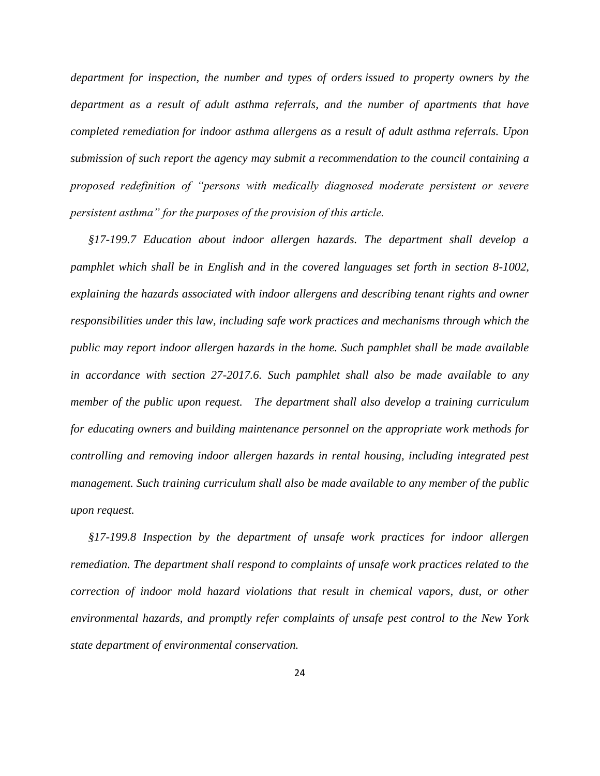*department for inspection, the number and types of orders issued to property owners by the department as a result of adult asthma referrals, and the number of apartments that have completed remediation for indoor asthma allergens as a result of adult asthma referrals. Upon submission of such report the agency may submit a recommendation to the council containing a proposed redefinition of "persons with medically diagnosed moderate persistent or severe persistent asthma" for the purposes of the provision of this article.* 

*§17-199.7 Education about indoor allergen hazards. The department shall develop a pamphlet which shall be in English and in the covered languages set forth in section 8-1002, explaining the hazards associated with indoor allergens and describing tenant rights and owner responsibilities under this law, including safe work practices and mechanisms through which the public may report indoor allergen hazards in the home. Such pamphlet shall be made available in accordance with section 27-2017.6. Such pamphlet shall also be made available to any member of the public upon request. The department shall also develop a training curriculum for educating owners and building maintenance personnel on the appropriate work methods for controlling and removing indoor allergen hazards in rental housing, including integrated pest management. Such training curriculum shall also be made available to any member of the public upon request.*

*§17-199.8 Inspection by the department of unsafe work practices for indoor allergen remediation. The department shall respond to complaints of unsafe work practices related to the correction of indoor mold hazard violations that result in chemical vapors, dust, or other environmental hazards, and promptly refer complaints of unsafe pest control to the New York state department of environmental conservation.*